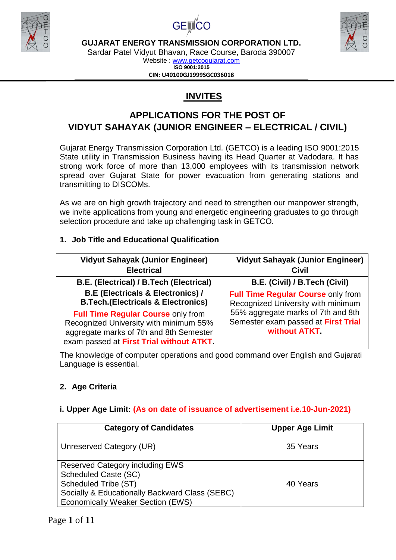





Sardar Patel Vidyut Bhavan, Race Course, Baroda 390007

Website : [www.getcogujarat.com](http://www.getcogujarat.com/) **ISO 9001:2015 CIN: U40100GJ1999SGC036018**

# **INVITES**

# **APPLICATIONS FOR THE POST OF VIDYUT SAHAYAK (JUNIOR ENGINEER – ELECTRICAL / CIVIL)**

Gujarat Energy Transmission Corporation Ltd. (GETCO) is a leading ISO 9001:2015 State utility in Transmission Business having its Head Quarter at Vadodara. It has strong work force of more than 13,000 employees with its transmission network spread over Gujarat State for power evacuation from generating stations and transmitting to DISCOMs.

As we are on high growth trajectory and need to strengthen our manpower strength, we invite applications from young and energetic engineering graduates to go through selection procedure and take up challenging task in GETCO.

# **1. Job Title and Educational Qualification**

| <b>Vidyut Sahayak (Junior Engineer)</b>                                                                                                                                    | <b>Vidyut Sahayak (Junior Engineer)</b>                                                    |
|----------------------------------------------------------------------------------------------------------------------------------------------------------------------------|--------------------------------------------------------------------------------------------|
| <b>Electrical</b>                                                                                                                                                          | <b>Civil</b>                                                                               |
| B.E. (Electrical) / B.Tech (Electrical)                                                                                                                                    | B.E. (Civil) / B.Tech (Civil)                                                              |
| <b>B.E (Electricals &amp; Electronics) /</b>                                                                                                                               | <b>Full Time Regular Course only from</b>                                                  |
| <b>B.Tech.</b> (Electricals & Electronics)                                                                                                                                 | Recognized University with minimum                                                         |
| <b>Full Time Regular Course only from</b><br>Recognized University with minimum 55%<br>aggregate marks of 7th and 8th Semester<br>exam passed at First Trial without ATKT. | 55% aggregate marks of 7th and 8th<br>Semester exam passed at First Trial<br>without ATKT. |

The knowledge of computer operations and good command over English and Gujarati Language is essential.

# **2. Age Criteria**

## **i. Upper Age Limit: (As on date of issuance of advertisement i.e.10-Jun-2021)**

| <b>Category of Candidates</b>                                                                                                                                                        | <b>Upper Age Limit</b> |
|--------------------------------------------------------------------------------------------------------------------------------------------------------------------------------------|------------------------|
| Unreserved Category (UR)                                                                                                                                                             | 35 Years               |
| <b>Reserved Category including EWS</b><br>Scheduled Caste (SC)<br>Scheduled Tribe (ST)<br>Socially & Educationally Backward Class (SEBC)<br><b>Economically Weaker Section (EWS)</b> | 40 Years               |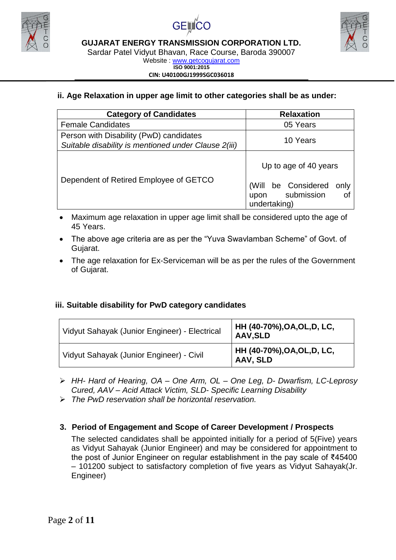





Sardar Patel Vidyut Bhavan, Race Course, Baroda 390007 Website : [www.getcogujarat.com](http://www.getcogujarat.com/)

**ISO 9001:2015 CIN: U40100GJ1999SGC036018**

# **ii. Age Relaxation in upper age limit to other categories shall be as under:**

| <b>Category of Candidates</b>                                                                   | <b>Relaxation</b>                                                                                |
|-------------------------------------------------------------------------------------------------|--------------------------------------------------------------------------------------------------|
| <b>Female Candidates</b>                                                                        | 05 Years                                                                                         |
| Person with Disability (PwD) candidates<br>Suitable disability is mentioned under Clause 2(iii) | 10 Years                                                                                         |
| Dependent of Retired Employee of GETCO                                                          | Up to age of 40 years<br>(Will be Considered<br>only<br>submission<br>οf<br>upon<br>undertaking) |

- Maximum age relaxation in upper age limit shall be considered upto the age of 45 Years.
- The above age criteria are as per the "Yuva Swavlamban Scheme" of Govt. of Gujarat.
- The age relaxation for Ex-Serviceman will be as per the rules of the Government of Gujarat.

## **iii. Suitable disability for PwD category candidates**

| Vidyut Sahayak (Junior Engineer) - Electrical | HH (40-70%),OA,OL,D, LC,<br><b>AAV, SLD</b> |
|-----------------------------------------------|---------------------------------------------|
| Vidyut Sahayak (Junior Engineer) - Civil      | HH (40-70%),OA,OL,D, LC,<br>AAV, SLD        |

- *HH- Hard of Hearing, OA – One Arm, OL – One Leg, D- Dwarfism, LC-Leprosy Cured, AAV – Acid Attack Victim, SLD- Specific Learning Disability*
- *The PwD reservation shall be horizontal reservation.*

## **3. Period of Engagement and Scope of Career Development / Prospects**

The selected candidates shall be appointed initially for a period of 5(Five) years as Vidyut Sahayak (Junior Engineer) and may be considered for appointment to the post of Junior Engineer on regular establishment in the pay scale of ₹45400 – 101200 subject to satisfactory completion of five years as Vidyut Sahayak(Jr. Engineer)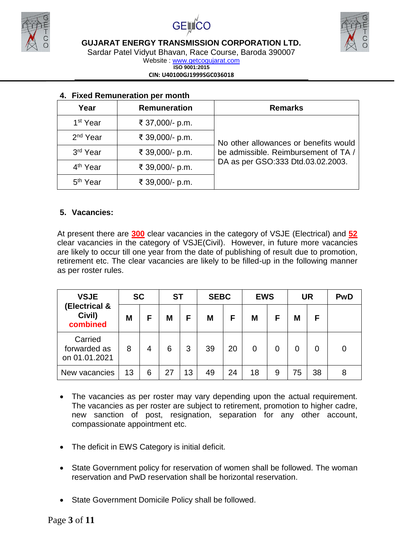





Sardar Patel Vidyut Bhavan, Race Course, Baroda 390007

Website : [www.getcogujarat.com](http://www.getcogujarat.com/) **ISO 9001:2015**

**CIN: U40100GJ1999SGC036018**

| Year                 | <b>Remuneration</b> | <b>Remarks</b>                        |
|----------------------|---------------------|---------------------------------------|
| 1 <sup>st</sup> Year | ₹ 37,000/- p.m.     |                                       |
| 2 <sup>nd</sup> Year | ₹ 39,000/- p.m.     | No other allowances or benefits would |
| 3rd Year             | ₹ 39,000/- p.m.     | be admissible. Reimbursement of TA /  |
| 4 <sup>th</sup> Year | ₹ 39,000/- p.m.     | DA as per GSO:333 Dtd.03.02.2003.     |
| 5 <sup>th</sup> Year | ₹ 39,000/- p.m.     |                                       |

# **4. Fixed Remuneration per month**

### **5. Vacancies:**

At present there are **300** clear vacancies in the category of VSJE (Electrical) and **52** clear vacancies in the category of VSJE(Civil). However, in future more vacancies are likely to occur till one year from the date of publishing of result due to promotion, retirement etc. The clear vacancies are likely to be filled-up in the following manner as per roster rules.

| <b>SC</b><br><b>VSJE</b>                 |    | <b>ST</b> |    | <b>SEBC</b> |    | <b>EWS</b> |    | <b>UR</b> |    | <b>PwD</b> |   |
|------------------------------------------|----|-----------|----|-------------|----|------------|----|-----------|----|------------|---|
| (Electrical &<br>Civil)<br>combined      | M  | F         | M  | F           | M  | F          | M  | F         | Μ  | F          |   |
| Carried<br>forwarded as<br>on 01.01.2021 | 8  | 4         | 6  | 3           | 39 | 20         | 0  | 0         |    | 0          | 0 |
| New vacancies                            | 13 | 6         | 27 | 13          | 49 | 24         | 18 | 9         | 75 | 38         | 8 |

- The vacancies as per roster may vary depending upon the actual requirement. The vacancies as per roster are subject to retirement, promotion to higher cadre, new sanction of post, resignation, separation for any other account, compassionate appointment etc.
- The deficit in EWS Category is initial deficit.
- State Government policy for reservation of women shall be followed. The woman reservation and PwD reservation shall be horizontal reservation.
- State Government Domicile Policy shall be followed.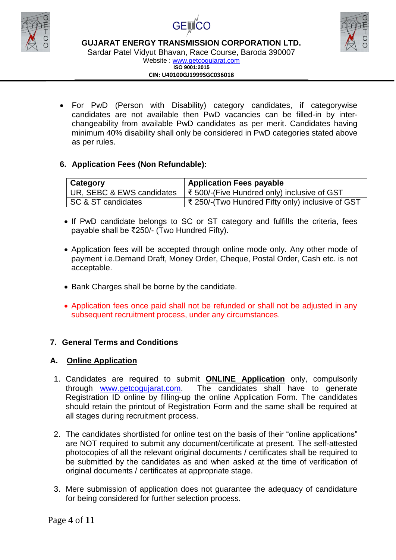





Sardar Patel Vidyut Bhavan, Race Course, Baroda 390007

Website : [www.getcogujarat.com](http://www.getcogujarat.com/) **ISO 9001:2015 CIN: U40100GJ1999SGC036018**

 For PwD (Person with Disability) category candidates, if categorywise candidates are not available then PwD vacancies can be filled-in by interchangeability from available PwD candidates as per merit. Candidates having minimum 40% disability shall only be considered in PwD categories stated above as per rules.

# **6. Application Fees (Non Refundable):**

| Category                  | <b>Application Fees payable</b>                  |
|---------------------------|--------------------------------------------------|
| UR, SEBC & EWS candidates | ₹ 500/-(Five Hundred only) inclusive of GST      |
| SC & ST candidates        | ₹ 250/-(Two Hundred Fifty only) inclusive of GST |

- If PwD candidate belongs to SC or ST category and fulfills the criteria, fees payable shall be ₹250/- (Two Hundred Fifty).
- Application fees will be accepted through online mode only. Any other mode of payment i.e.Demand Draft, Money Order, Cheque, Postal Order, Cash etc. is not acceptable.
- Bank Charges shall be borne by the candidate.
- Application fees once paid shall not be refunded or shall not be adjusted in any subsequent recruitment process, under any circumstances.

# **7. General Terms and Conditions**

## **A. Online Application**

- 1. Candidates are required to submit **ONLINE Application** only, compulsorily through [www.getcogujarat.com.](http://www.getcogujarat.com/) The candidates shall have to generate Registration ID online by filling-up the online Application Form. The candidates should retain the printout of Registration Form and the same shall be required at all stages during recruitment process.
- 2. The candidates shortlisted for online test on the basis of their "online applications" are NOT required to submit any document/certificate at present. The self-attested photocopies of all the relevant original documents / certificates shall be required to be submitted by the candidates as and when asked at the time of verification of original documents / certificates at appropriate stage.
- 3. Mere submission of application does not guarantee the adequacy of candidature for being considered for further selection process.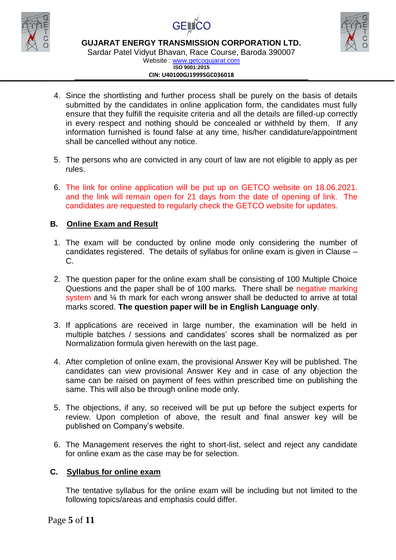





Sardar Patel Vidyut Bhavan, Race Course, Baroda 390007 Website : [www.getcogujarat.com](http://www.getcogujarat.com/)

#### **ISO 9001:2015 CIN: U40100GJ1999SGC036018**

- 4. Since the shortlisting and further process shall be purely on the basis of details submitted by the candidates in online application form, the candidates must fully ensure that they fulfill the requisite criteria and all the details are filled-up correctly in every respect and nothing should be concealed or withheld by them. If any information furnished is found false at any time, his/her candidature/appointment shall be cancelled without any notice.
- 5. The persons who are convicted in any court of law are not eligible to apply as per rules.
- 6. The link for online application will be put up on GETCO website on 18.06.2021. and the link will remain open for 21 days from the date of opening of link. The candidates are requested to regularly check the GETCO website for updates.

### **B. Online Exam and Result**

- 1. The exam will be conducted by online mode only considering the number of candidates registered. The details of syllabus for online exam is given in Clause – C.
- 2. The question paper for the online exam shall be consisting of 100 Multiple Choice Questions and the paper shall be of 100 marks. There shall be negative marking system and  $\frac{1}{4}$  th mark for each wrong answer shall be deducted to arrive at total marks scored. **The question paper will be in English Language only**.
- 3. If applications are received in large number, the examination will be held in multiple batches / sessions and candidates' scores shall be normalized as per Normalization formula given herewith on the last page.
- 4. After completion of online exam, the provisional Answer Key will be published. The candidates can view provisional Answer Key and in case of any objection the same can be raised on payment of fees within prescribed time on publishing the same. This will also be through online mode only.
- 5. The objections, if any, so received will be put up before the subject experts for review. Upon completion of above, the result and final answer key will be published on Company's website.
- 6. The Management reserves the right to short-list, select and reject any candidate for online exam as the case may be for selection.

### **C. Syllabus for online exam**

The tentative syllabus for the online exam will be including but not limited to the following topics/areas and emphasis could differ.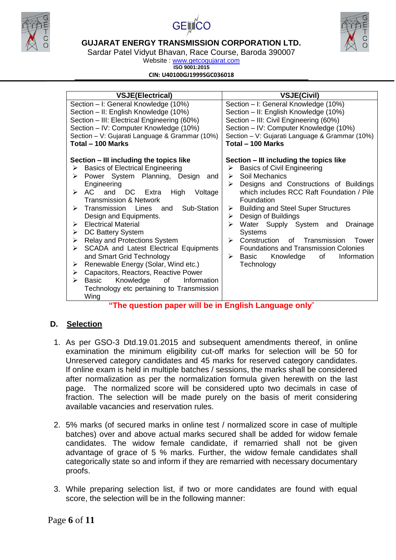





Sardar Patel Vidyut Bhavan, Race Course, Baroda 390007

Website : [www.getcogujarat.com](http://www.getcogujarat.com/) **ISO 9001:2015**

**CIN: U40100GJ1999SGC036018**

| <b>VSJE(Electrical)</b>                                                                                                                                                                                                                                                                                                                                                                                                                                                                                                                                                                                                                                                                                                   | <b>VSJE(Civil)</b>                                                                                                                                                                                                                                                                                                                                                                                                                                                                                                                                                                                                                                                                                                                          |
|---------------------------------------------------------------------------------------------------------------------------------------------------------------------------------------------------------------------------------------------------------------------------------------------------------------------------------------------------------------------------------------------------------------------------------------------------------------------------------------------------------------------------------------------------------------------------------------------------------------------------------------------------------------------------------------------------------------------------|---------------------------------------------------------------------------------------------------------------------------------------------------------------------------------------------------------------------------------------------------------------------------------------------------------------------------------------------------------------------------------------------------------------------------------------------------------------------------------------------------------------------------------------------------------------------------------------------------------------------------------------------------------------------------------------------------------------------------------------------|
| Section - I: General Knowledge (10%)<br>Section - II: English Knowledge (10%)<br>Section - III: Electrical Engineering (60%)<br>Section - IV: Computer Knowledge (10%)<br>Section - V: Gujarati Language & Grammar (10%)<br>Total - 100 Marks<br>Section – III including the topics like<br><b>Basics of Electrical Engineering</b><br>➤<br>Power System Planning, Design<br>➤<br>and<br>Engineering<br>AC<br>and<br>DC Extra<br>Voltage<br>⋗<br>High<br><b>Transmission &amp; Network</b><br>Sub-Station<br>Transmission<br>➤<br>Lines<br>and<br>Design and Equipments.<br><b>Electrical Material</b><br>⋗<br>DC Battery System<br>⋗<br>Relay and Protections System<br>➤<br>SCADA and Latest Electrical Equipments<br>➤ | Section - I: General Knowledge (10%)<br>Section - II: English Knowledge (10%)<br>Section - III: Civil Engineering (60%)<br>Section - IV: Computer Knowledge (10%)<br>Section - V: Gujarati Language & Grammar (10%)<br>Total - 100 Marks<br>Section – III including the topics like<br><b>Basics of Civil Engineering</b><br>➤<br>Soil Mechanics<br>➤<br>Designs and Constructions of Buildings<br>$\blacktriangleright$<br>which includes RCC Raft Foundation / Pile<br>Foundation<br><b>Building and Steel Super Structures</b><br>➤<br>Design of Buildings<br>➤<br>Water Supply System and<br>Drainage<br><b>Systems</b><br>Construction<br>of Transmission<br>$\triangleright$<br>Tower<br><b>Foundations and Transmission Colonies</b> |
| and Smart Grid Technology                                                                                                                                                                                                                                                                                                                                                                                                                                                                                                                                                                                                                                                                                                 | Knowledge<br>of<br>Information<br>≻<br>Basic                                                                                                                                                                                                                                                                                                                                                                                                                                                                                                                                                                                                                                                                                                |
| Renewable Energy (Solar, Wind etc.)<br>⋗<br>Capacitors, Reactors, Reactive Power<br>≻                                                                                                                                                                                                                                                                                                                                                                                                                                                                                                                                                                                                                                     | Technology                                                                                                                                                                                                                                                                                                                                                                                                                                                                                                                                                                                                                                                                                                                                  |
| Basic Knowledge<br>of<br>Information<br>⋗<br>Technology etc pertaining to Transmission<br>Wing<br>"The question paper will be in Fnglish Language only"                                                                                                                                                                                                                                                                                                                                                                                                                                                                                                                                                                   |                                                                                                                                                                                                                                                                                                                                                                                                                                                                                                                                                                                                                                                                                                                                             |

 $\mathop{\mathsf{supp}}\nolimits \mathop{\mathsf{supp}}\nolimits \mathop{\mathsf{supp}}\nolimits \mathop{\mathsf{supp}}\nolimits \mathop{\mathsf{supp}}\nolimits \mathop{\mathsf{supp}}\nolimits \mathop{\mathsf{supp}}\nolimits \mathop{\mathsf{supp}}\nolimits \mathop{\mathsf{supp}}\nolimits \mathop{\mathsf{supp}}\nolimits \mathop{\mathsf{supp}}\nolimits \mathop{\mathsf{supp}}\nolimits \mathop{\mathsf{supp}}\nolimits \mathop{\mathsf{supp}}\nolimits \mathop{\mathsf{supp}}\nolimits \mathop{\mathsf{supp}}\$ 

### **D. Selection**

- 1. As per GSO-3 Dtd.19.01.2015 and subsequent amendments thereof, in online examination the minimum eligibility cut-off marks for selection will be 50 for Unreserved category candidates and 45 marks for reserved category candidates. If online exam is held in multiple batches / sessions, the marks shall be considered after normalization as per the normalization formula given herewith on the last page. The normalized score will be considered upto two decimals in case of fraction. The selection will be made purely on the basis of merit considering available vacancies and reservation rules.
- 2. 5% marks (of secured marks in online test / normalized score in case of multiple batches) over and above actual marks secured shall be added for widow female candidates. The widow female candidate, if remarried shall not be given advantage of grace of 5 % marks. Further, the widow female candidates shall categorically state so and inform if they are remarried with necessary documentary proofs.
- 3. While preparing selection list, if two or more candidates are found with equal score, the selection will be in the following manner: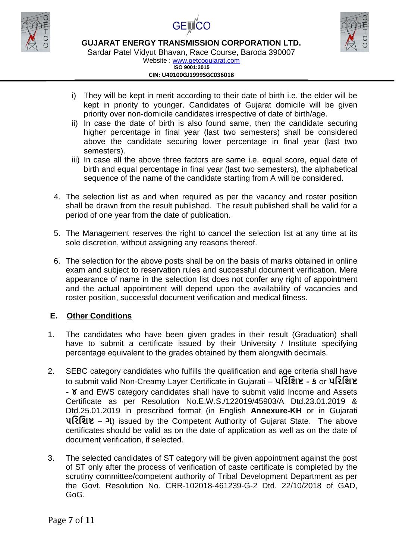





Sardar Patel Vidyut Bhavan, Race Course, Baroda 390007

Website : [www.getcogujarat.com](http://www.getcogujarat.com/) **ISO 9001:2015 CIN: U40100GJ1999SGC036018**

- i) They will be kept in merit according to their date of birth i.e. the elder will be kept in priority to younger. Candidates of Gujarat domicile will be given priority over non-domicile candidates irrespective of date of birth/age.
- ii) In case the date of birth is also found same, then the candidate securing higher percentage in final year (last two semesters) shall be considered above the candidate securing lower percentage in final year (last two semesters).
- iii) In case all the above three factors are same i.e. equal score, equal date of birth and equal percentage in final year (last two semesters), the alphabetical sequence of the name of the candidate starting from A will be considered.
- 4. The selection list as and when required as per the vacancy and roster position shall be drawn from the result published. The result published shall be valid for a period of one year from the date of publication.
- 5. The Management reserves the right to cancel the selection list at any time at its sole discretion, without assigning any reasons thereof.
- 6. The selection for the above posts shall be on the basis of marks obtained in online exam and subject to reservation rules and successful document verification. Mere appearance of name in the selection list does not confer any right of appointment and the actual appointment will depend upon the availability of vacancies and roster position, successful document verification and medical fitness.

## **E. Other Conditions**

- 1. The candidates who have been given grades in their result (Graduation) shall have to submit a certificate issued by their University / Institute specifying percentage equivalent to the grades obtained by them alongwith decimals.
- 2. SEBC category candidates who fulfills the qualification and age criteria shall have to submit valid Non-Creamy Layer Certificate in Gujarati – **પરિરિષ્ટ - ક** or **પરિરિષ્ટ - ૪** and EWS category candidates shall have to submit valid Income and Assets Certificate as per Resolution No.E.W.S./122019/45903/A Dtd.23.01.2019 & Dtd.25.01.2019 in prescribed format (in English **Annexure-KH** or in Gujarati **પરિરિષ્ટ** – **ગ**) issued by the Competent Authority of Gujarat State. The above certificates should be valid as on the date of application as well as on the date of document verification, if selected.
- 3. The selected candidates of ST category will be given appointment against the post of ST only after the process of verification of caste certificate is completed by the scrutiny committee/competent authority of Tribal Development Department as per the Govt. Resolution No. CRR-102018-461239-G-2 Dtd. 22/10/2018 of GAD, GoG.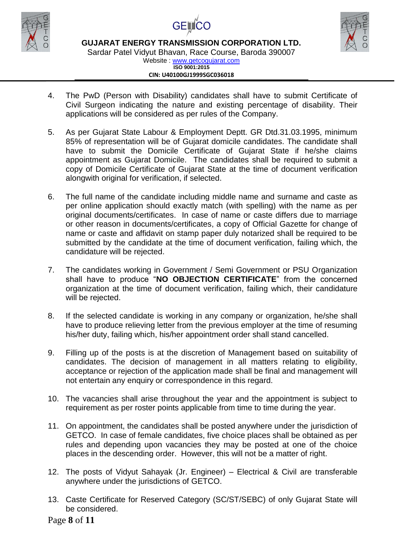





Sardar Patel Vidyut Bhavan, Race Course, Baroda 390007 Website : [www.getcogujarat.com](http://www.getcogujarat.com/)

**ISO 9001:2015 CIN: U40100GJ1999SGC036018**

- 4. The PwD (Person with Disability) candidates shall have to submit Certificate of Civil Surgeon indicating the nature and existing percentage of disability. Their applications will be considered as per rules of the Company.
- 5. As per Gujarat State Labour & Employment Deptt. GR Dtd.31.03.1995, minimum 85% of representation will be of Gujarat domicile candidates. The candidate shall have to submit the Domicile Certificate of Gujarat State if he/she claims appointment as Gujarat Domicile. The candidates shall be required to submit a copy of Domicile Certificate of Gujarat State at the time of document verification alongwith original for verification, if selected.
- 6. The full name of the candidate including middle name and surname and caste as per online application should exactly match (with spelling) with the name as per original documents/certificates. In case of name or caste differs due to marriage or other reason in documents/certificates, a copy of Official Gazette for change of name or caste and affidavit on stamp paper duly notarized shall be required to be submitted by the candidate at the time of document verification, failing which, the candidature will be rejected.
- 7. The candidates working in Government / Semi Government or PSU Organization shall have to produce "**NO OBJECTION CERTIFICATE**" from the concerned organization at the time of document verification, failing which, their candidature will be rejected.
- 8. If the selected candidate is working in any company or organization, he/she shall have to produce relieving letter from the previous employer at the time of resuming his/her duty, failing which, his/her appointment order shall stand cancelled.
- 9. Filling up of the posts is at the discretion of Management based on suitability of candidates. The decision of management in all matters relating to eligibility, acceptance or rejection of the application made shall be final and management will not entertain any enquiry or correspondence in this regard.
- 10. The vacancies shall arise throughout the year and the appointment is subject to requirement as per roster points applicable from time to time during the year.
- 11. On appointment, the candidates shall be posted anywhere under the jurisdiction of GETCO. In case of female candidates, five choice places shall be obtained as per rules and depending upon vacancies they may be posted at one of the choice places in the descending order. However, this will not be a matter of right.
- 12. The posts of Vidyut Sahayak (Jr. Engineer) Electrical & Civil are transferable anywhere under the jurisdictions of GETCO.
- 13. Caste Certificate for Reserved Category (SC/ST/SEBC) of only Gujarat State will be considered.

Page **8** of **11**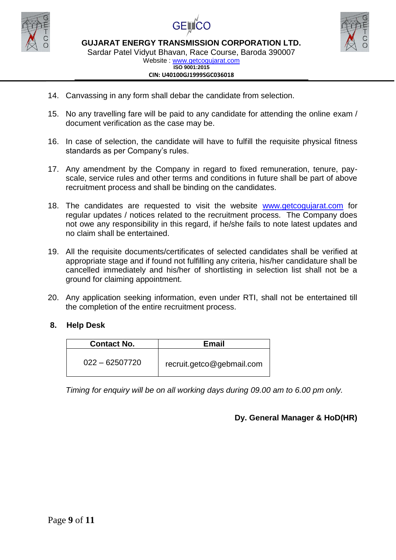





Sardar Patel Vidyut Bhavan, Race Course, Baroda 390007

Website : [www.getcogujarat.com](http://www.getcogujarat.com/) **ISO 9001:2015 CIN: U40100GJ1999SGC036018**

- 14. Canvassing in any form shall debar the candidate from selection.
- 15. No any travelling fare will be paid to any candidate for attending the online exam / document verification as the case may be.
- 16. In case of selection, the candidate will have to fulfill the requisite physical fitness standards as per Company's rules.
- 17. Any amendment by the Company in regard to fixed remuneration, tenure, payscale, service rules and other terms and conditions in future shall be part of above recruitment process and shall be binding on the candidates.
- 18. The candidates are requested to visit the website [www.getcogujarat.com](http://www.getcogujarat.com/) for regular updates / notices related to the recruitment process. The Company does not owe any responsibility in this regard, if he/she fails to note latest updates and no claim shall be entertained.
- 19. All the requisite documents/certificates of selected candidates shall be verified at appropriate stage and if found not fulfilling any criteria, his/her candidature shall be cancelled immediately and his/her of shortlisting in selection list shall not be a ground for claiming appointment.
- 20. Any application seeking information, even under RTI, shall not be entertained till the completion of the entire recruitment process.

### **8. Help Desk**

| <b>Contact No.</b> | <b>Email</b>              |
|--------------------|---------------------------|
| $022 - 62507720$   | recruit.getco@gebmail.com |

*Timing for enquiry will be on all working days during 09.00 am to 6.00 pm only.*

### **Dy. General Manager & HoD(HR)**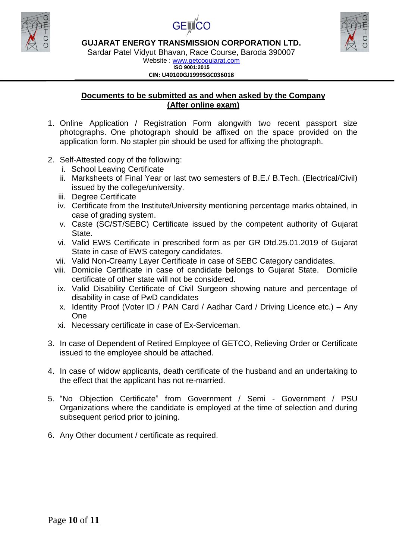





Sardar Patel Vidyut Bhavan, Race Course, Baroda 390007

Website : [www.getcogujarat.com](http://www.getcogujarat.com/) **ISO 9001:2015 CIN: U40100GJ1999SGC036018**

### **Documents to be submitted as and when asked by the Company (After online exam)**

- 1. Online Application / Registration Form alongwith two recent passport size photographs. One photograph should be affixed on the space provided on the application form. No stapler pin should be used for affixing the photograph.
- 2. Self-Attested copy of the following:
	- i. School Leaving Certificate
	- ii. Marksheets of Final Year or last two semesters of B.E./ B.Tech. (Electrical/Civil) issued by the college/university.
	- iii. Degree Certificate
	- iv. Certificate from the Institute/University mentioning percentage marks obtained, in case of grading system.
	- v. Caste (SC/ST/SEBC) Certificate issued by the competent authority of Gujarat State.
	- vi. Valid EWS Certificate in prescribed form as per GR Dtd.25.01.2019 of Gujarat State in case of EWS category candidates.
	- vii. Valid Non-Creamy Layer Certificate in case of SEBC Category candidates.
	- viii. Domicile Certificate in case of candidate belongs to Gujarat State. Domicile certificate of other state will not be considered.
	- ix. Valid Disability Certificate of Civil Surgeon showing nature and percentage of disability in case of PwD candidates
	- x. Identity Proof (Voter ID / PAN Card / Aadhar Card / Driving Licence etc.) Any One
	- xi. Necessary certificate in case of Ex-Serviceman.
- 3. In case of Dependent of Retired Employee of GETCO, Relieving Order or Certificate issued to the employee should be attached.
- 4. In case of widow applicants, death certificate of the husband and an undertaking to the effect that the applicant has not re-married.
- 5. "No Objection Certificate" from Government / Semi Government / PSU Organizations where the candidate is employed at the time of selection and during subsequent period prior to joining.
- 6. Any Other document / certificate as required.